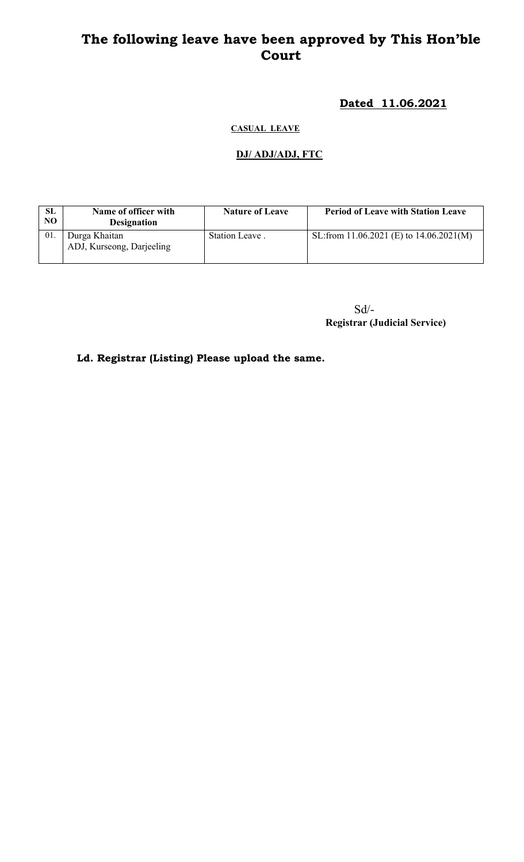# The following leave have been approved by This Hon'ble Court

## Dated 11.06.2021

#### CASUAL LEAVE

## DJ/ ADJ/ADJ, FTC

| SL<br>NO. | Name of officer with<br><b>Designation</b> | <b>Nature of Leave</b> | <b>Period of Leave with Station Leave</b> |
|-----------|--------------------------------------------|------------------------|-------------------------------------------|
| 01.       | Durga Khaitan<br>ADJ, Kurseong, Darjeeling | Station Leave.         | SL:from 11.06.2021 (E) to $14.06.2021(M)$ |

Sd/- Registrar (Judicial Service)

Ld. Registrar (Listing) Please upload the same.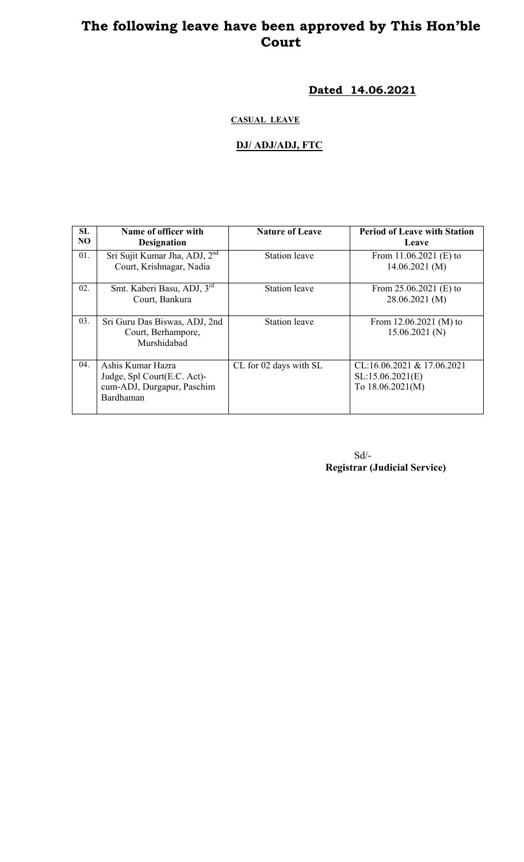# The following leave have been approved by This Hon'ble Court

Dated 14.06.2021

#### CASUAL LEAVE

#### DJ/ ADJ/ADJ, FTC

| SL  | Name of officer with                                                                        | <b>Nature of Leave</b> | <b>Period of Leave with Station</b>                                   |
|-----|---------------------------------------------------------------------------------------------|------------------------|-----------------------------------------------------------------------|
| NO  | <b>Designation</b>                                                                          |                        | Leave                                                                 |
| 01. | Sri Sujit Kumar Jha, ADJ, 2 <sup>nd</sup><br>Court, Krishnagar, Nadia                       | <b>Station</b> leave   | From $11.06.2021$ (E) to<br>14.06.2021(M)                             |
| 02. | Smt. Kaberi Basu, ADJ, 3rd<br>Court, Bankura                                                | <b>Station</b> leave   | From $25.06.2021$ (E) to<br>28.06.2021 (M)                            |
| 03. | Sri Guru Das Biswas, ADJ, 2nd<br>Court, Berhampore,<br>Murshidabad                          | <b>Station</b> leave   | From $12.06.2021$ (M) to<br>15.06.2021(N)                             |
| 04. | Ashis Kumar Hazra<br>Judge, Spl Court(E.C. Act)-<br>cum-ADJ, Durgapur, Paschim<br>Bardhaman | CL for 02 days with SL | $CL:16.06.2021 \& 17.06.2021$<br>SL:15.06.2021(E)<br>To 18.06.2021(M) |

Sd/- Registrar (Judicial Service)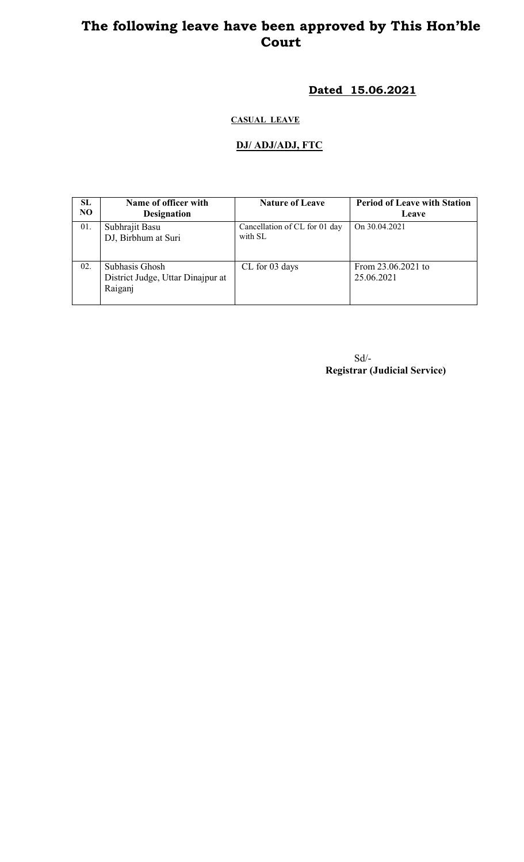## The following leave have been approved by This Hon'ble Court

## Dated 15.06.2021

### CASUAL LEAVE

#### DJ/ ADJ/ADJ, FTC

| <b>SL</b><br>NO. | Name of officer with<br><b>Designation</b>                     | <b>Nature of Leave</b>                   | <b>Period of Leave with Station</b><br>Leave |
|------------------|----------------------------------------------------------------|------------------------------------------|----------------------------------------------|
| 01.              | Subhrajit Basu<br>DJ, Birbhum at Suri                          | Cancellation of CL for 01 day<br>with SL | On 30.04.2021                                |
| 02.              | Subhasis Ghosh<br>District Judge, Uttar Dinajpur at<br>Raiganj | CL for 03 days                           | From 23.06.2021 to<br>25.06.2021             |

Sd/- Registrar (Judicial Service)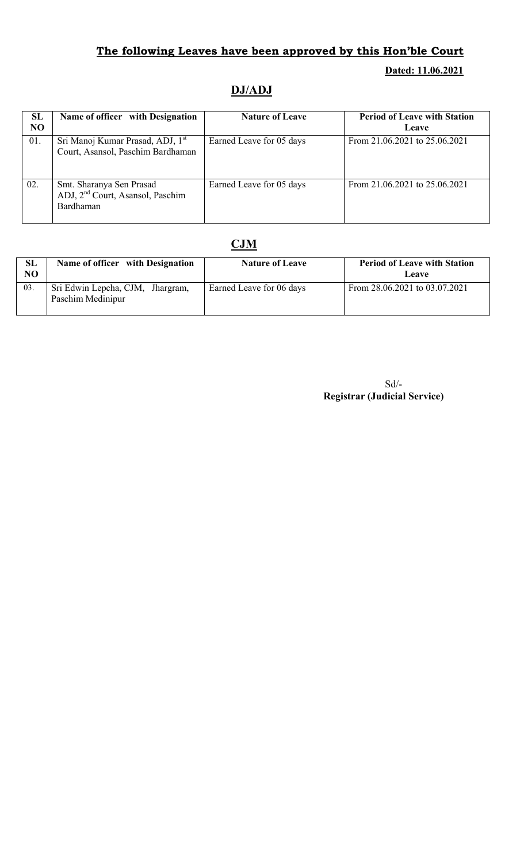## The following Leaves have been approved by this Hon'ble Court

#### Dated: 11.06.2021

## DJ/ADJ

| <b>SL</b><br>N <sub>O</sub> | Name of officer with Designation                                                      | <b>Nature of Leave</b>   | <b>Period of Leave with Station</b><br>Leave |
|-----------------------------|---------------------------------------------------------------------------------------|--------------------------|----------------------------------------------|
| 01.                         | Sri Manoj Kumar Prasad, ADJ, 1 <sup>st</sup><br>Court, Asansol, Paschim Bardhaman     | Earned Leave for 05 days | From 21.06.2021 to 25.06.2021                |
| 02.                         | Smt. Sharanya Sen Prasad<br>ADJ, 2 <sup>nd</sup> Court, Asansol, Paschim<br>Bardhaman | Earned Leave for 05 days | From 21.06.2021 to 25.06.2021                |

### CJM

| SL<br>NO | Name of officer with Designation                      | <b>Nature of Leave</b>   | <b>Period of Leave with Station</b><br><b>Leave</b> |
|----------|-------------------------------------------------------|--------------------------|-----------------------------------------------------|
| 03.      | Sri Edwin Lepcha, CJM, Jhargram,<br>Paschim Medinipur | Earned Leave for 06 days | From 28.06.2021 to 03.07.2021                       |

Sd/- Registrar (Judicial Service)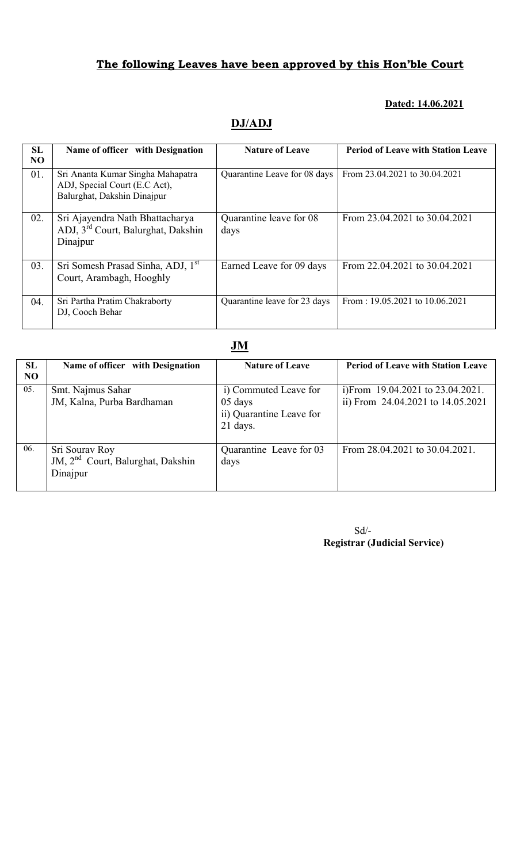### The following Leaves have been approved by this Hon'ble Court

### Dated: 14.06.2021

# DJ/ADJ

| SL        | Name of officer with Designation               | <b>Nature of Leave</b>       | <b>Period of Leave with Station Leave</b> |
|-----------|------------------------------------------------|------------------------------|-------------------------------------------|
| <b>NO</b> |                                                |                              |                                           |
|           |                                                |                              |                                           |
| 01.       | Sri Ananta Kumar Singha Mahapatra              | Quarantine Leave for 08 days | From 23.04.2021 to 30.04.2021             |
|           | ADJ, Special Court (E.C Act),                  |                              |                                           |
|           | Balurghat, Dakshin Dinajpur                    |                              |                                           |
|           |                                                |                              |                                           |
|           |                                                |                              |                                           |
| 02.       | Sri Ajayendra Nath Bhattacharya                | Quarantine leave for 08      | From 23.04.2021 to 30.04.2021             |
|           | ADJ, 3 <sup>rd</sup> Court, Balurghat, Dakshin |                              |                                           |
|           |                                                | days                         |                                           |
|           | Dinajpur                                       |                              |                                           |
|           |                                                |                              |                                           |
|           |                                                |                              |                                           |
| 03.       | Sri Somesh Prasad Sinha, ADJ, 1 <sup>st</sup>  | Earned Leave for 09 days     | From 22.04.2021 to 30.04.2021             |
|           | Court, Arambagh, Hooghly                       |                              |                                           |
|           |                                                |                              |                                           |
|           |                                                |                              |                                           |
| 04.       | Sri Partha Pratim Chakraborty                  | Quarantine leave for 23 days | From: $19.05.2021$ to $10.06.2021$        |
|           | DJ, Cooch Behar                                |                              |                                           |
|           |                                                |                              |                                           |

### JM

| SL<br>NO | Name of officer with Designation                                            | <b>Nature of Leave</b>                                                     | <b>Period of Leave with Station Leave</b>                                  |
|----------|-----------------------------------------------------------------------------|----------------------------------------------------------------------------|----------------------------------------------------------------------------|
| 05.      | Smt. Najmus Sahar<br>JM, Kalna, Purba Bardhaman                             | i) Commuted Leave for<br>05 days<br>ii) Quarantine Leave for<br>$21$ days. | i)From $19.04.2021$ to $23.04.2021$ .<br>ii) From 24.04.2021 to 14.05.2021 |
| 06.      | Sri Sourav Roy<br>JM, 2 <sup>nd</sup> Court, Balurghat, Dakshin<br>Dinajpur | Quarantine Leave for 03<br>days                                            | From 28.04.2021 to 30.04.2021.                                             |

Sd/- Registrar (Judicial Service)